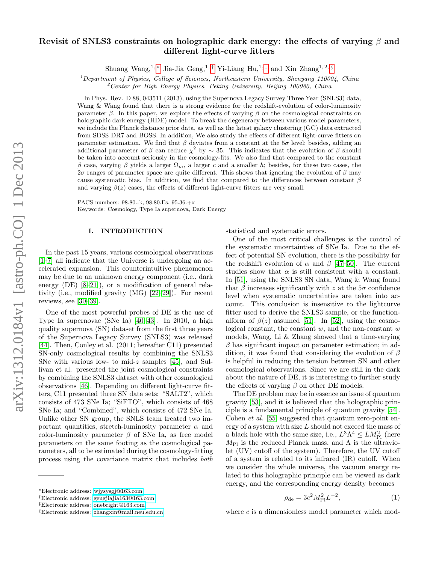# arXiv:1312.0184v1 [astro-ph.CO] 1 Dec 2013 arXiv:1312.0184v1 [astro-ph.CO] 1 Dec 2013

# Revisit of SNLS3 constraints on holographic dark energy: the effects of varying  $\beta$  and different light-curve fitters

Shuang Wang,<sup>1, [∗](#page-0-0)</sup> Jia-Jia Geng,<sup>1,[†](#page-0-1)</sup> Yi-Liang Hu,<sup>1,[‡](#page-0-2)</sup> and Xin Zhang<sup>1,2, [§](#page-0-3)</sup>

<sup>1</sup>Department of Physics, College of Sciences, Northeastern University, Shenyang 110004, China  $2^2$ Center for High Energy Physics, Peking University, Beijing 100080, China

In Phys. Rev. D 88, 043511 (2013), using the Supernova Legacy Survey Three Year (SNLS3) data, Wang & Wang found that there is a strong evidence for the redshift-evolution of color-luminosity parameter  $\beta$ . In this paper, we explore the effects of varying  $\beta$  on the cosmological constraints on holographic dark energy (HDE) model. To break the degeneracy between various model parameters, we include the Planck distance prior data, as well as the latest galaxy clustering (GC) data extracted from SDSS DR7 and BOSS. In addition, We also study the effects of different light-curve fitters on parameter estimation. We find that  $\beta$  deviates from a constant at the  $5\sigma$  level; besides, adding an additional parameter of  $\beta$  can reduce  $\chi^2$  by  $\sim$  35. This indicates that the evolution of  $\beta$  should be taken into account seriously in the cosmology-fits. We also find that compared to the constant β case, varying β yields a larger  $\Omega_m$ , a larger c and a smaller h; besides, for these two cases, the 2σ ranges of parameter space are quite different. This shows that ignoring the evolution of  $\beta$  may cause systematic bias. In addition, we find that compared to the differences between constant  $\beta$ and varying  $\beta(z)$  cases, the effects of different light-curve fitters are very small.

PACS numbers: 98.80.-k, 98.80.Es, 95.36.+x Keywords: Cosmology, Type Ia supernova, Dark Energy

## I. INTRODUCTION

In the past 15 years, various cosmological observations [\[1–](#page-7-0)[7\]](#page-7-1) all indicate that the Universe is undergoing an accelerated expansion. This counterintuitive phenomenon may be due to an unknown energy component (i.e., dark energy (DE) [\[8](#page-7-2)[–21\]](#page-8-0)), or a modification of general relativity (i.e., modified gravity (MG) [\[22–](#page-8-1)[29\]](#page-8-2)). For recent reviews, see [\[30–](#page-8-3)[39\]](#page-8-4).

One of the most powerful probes of DE is the use of Type Ia supernovae (SNe Ia) [\[40–](#page-8-5)[43\]](#page-8-6). In 2010, a high quality supernova (SN) dataset from the first three years of the Supernova Legacy Survey (SNLS3) was released [\[44\]](#page-8-7). Then, Conley et al. (2011; hereafter C11) presented SN-only cosmological results by combining the SNLS3 SNe with various low- to mid-z samples [\[45\]](#page-8-8), and Sullivan et al. presented the joint cosmological constraints by combining the SNLS3 dataset with other cosmological observations [\[46\]](#page-8-9). Depending on different light-curve fitters, C11 presented three SN data sets: "SALT2", which consists of 473 SNe Ia; "SiFTO", which consists of 468 SNe Ia; and "Combined", which consists of 472 SNe Ia. Unlike other SN group, the SNLS team treated two important quantities, stretch-luminosity parameter  $\alpha$  and color-luminosity parameter  $\beta$  of SNe Ia, as free model parameters on the same footing as the cosmological parameters, all to be estimated during the cosmology-fitting process using the covariance matrix that includes both

statistical and systematic errors.

One of the most critical challenges is the control of the systematic uncertainties of SNe Ia. Due to the effect of potential SN evolution, there is the possibility for the redshift evolution of  $\alpha$  and  $\beta$  [\[47](#page-8-10)[–50\]](#page-8-11). The current studies show that  $\alpha$  is still consistent with a constant. In [\[51\]](#page-8-12), using the SNLS3 SN data, Wang & Wang found that  $\beta$  increases significantly with z at the  $5\sigma$  confidence level when systematic uncertainties are taken into account. This conclusion is insensitive to the lightcurve fitter used to derive the SNLS3 sample, or the functionalform of  $\beta(z)$  assumed [\[51\]](#page-8-12). In [\[52\]](#page-8-13), using the cosmological constant, the constant  $w$ , and the non-constant  $w$ models, Wang, Li & Zhang showed that a time-varying  $\beta$  has significant impact on parameter estimation; in addition, it was found that considering the evolution of  $\beta$ is helpful in reducing the tension between SN and other cosmological observations. Since we are still in the dark about the nature of DE, it is interesting to further study the effects of varying  $\beta$  on other DE models.

The DE problem may be in essence an issue of quantum gravity [\[53\]](#page-8-14), and it is believed that the holographic principle is a fundamental principle of quantum gravity [\[54\]](#page-8-15). Cohen *et al.* [\[55\]](#page-8-16) suggested that quantum zero-point energy of a system with size  $L$  should not exceed the mass of a black hole with the same size, i.e.,  $L^3 \Lambda^4 \leq L M_{\rm Pl}^2$  (here  $M_{\text{Pl}}$  is the reduced Planck mass, and  $\Lambda$  is the ultraviolet (UV) cutoff of the system). Therefore, the UV cutoff of a system is related to its infrared (IR) cutoff. When we consider the whole universe, the vacuum energy related to this holographic principle can be viewed as dark energy, and the corresponding energy density becomes

$$
\rho_{\rm de} = 3c^2 M_{\rm Pl}^2 L^{-2},\tag{1}
$$

where  $c$  is a dimensionless model parameter which mod-

<span id="page-0-0"></span><sup>∗</sup>Electronic address: [wjysysgj@163.com](mailto:wjysysgj@163.com)

<span id="page-0-1"></span><sup>†</sup>Electronic address: [gengjiajia163@163.com](mailto:gengjiajia163@163.com)

<span id="page-0-2"></span><sup>‡</sup>Electronic address: [onebright@163.com](mailto:onebright@163.com)

<span id="page-0-3"></span><sup>§</sup>Electronic address: [zhangxin@mail.neu.edu.cn](mailto:zhangxin@mail.neu.edu.cn)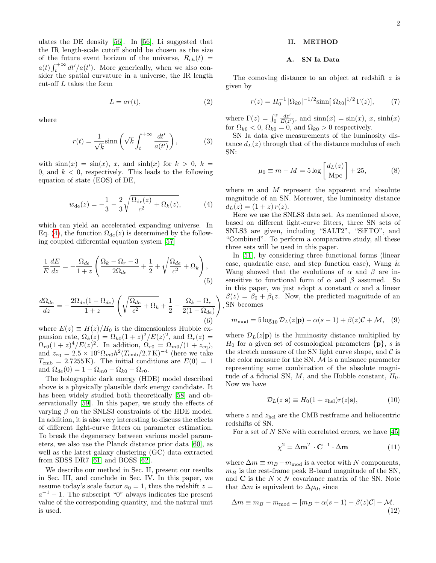ulates the DE density [\[56\]](#page-8-17). In [\[56\]](#page-8-17), Li suggested that the IR length-scale cutoff should be chosen as the size of the future event horizon of the universe,  $R_{eh}(t)$  =  $a(t) \int_t^{+\infty} dt'/a(t')$ . More generically, when we also consider the spatial curvature in a universe, the IR length cut-off L takes the form

$$
L = ar(t),\tag{2}
$$

where

$$
r(t) = \frac{1}{\sqrt{k}} \sinh\left(\sqrt{k} \int_{t}^{+\infty} \frac{dt'}{a(t')}\right),\tag{3}
$$

with  $\sinh(x) = \sin(x)$ , x, and  $\sinh(x)$  for  $k > 0$ ,  $k =$ 0, and  $k < 0$ , respectively. This leads to the following equation of state (EOS) of DE,

<span id="page-1-0"></span>
$$
w_{\rm de}(z) = -\frac{1}{3} - \frac{2}{3} \sqrt{\frac{\Omega_{\rm de}(z)}{c^2} + \Omega_k(z)},\tag{4}
$$

which can yield an accelerated expanding universe. In Eq. [\(4\)](#page-1-0), the function  $\Omega_{de}(z)$  is determined by the following coupled differential equation system [\[57\]](#page-8-18)

$$
\frac{1}{E}\frac{dE}{dz} = -\frac{\Omega_{de}}{1+z} \left( \frac{\Omega_k - \Omega_r - 3}{2\Omega_{de}} + \frac{1}{2} + \sqrt{\frac{\Omega_{de}}{c^2} + \Omega_k} \right),\tag{5}
$$

$$
\frac{d\Omega_{de}}{dz} = -\frac{2\Omega_{de}(1 - \Omega_{de})}{1 + z} \left( \sqrt{\frac{\Omega_{de}}{c^2} + \Omega_k} + \frac{1}{2} - \frac{\Omega_k - \Omega_r}{2(1 - \Omega_{de})} \right)
$$
\n(6)

where  $E(z) \equiv H(z)/H_0$  is the dimensionless Hubble expansion rate,  $\Omega_k(z) = \Omega_{k0}(1+z)^2/E(z)^2$ , and  $\Omega_r(z) =$  $\Omega_{r0}(1+z)^4/E(z)^2$ . In addition,  $\Omega_{r0} = \Omega_{m0}/(1+z_{\text{eq}})$ , and  $z_{\text{eq}} = 2.5 \times 10^4 \Omega_{m0} h^2 (T_{\text{cmb}}/2.7 \text{ K})^{-4}$  (here we take  $T_{\rm cmb} = 2.7255 \,\mathrm{K}$ . The initial conditions are  $E(0) = 1$ and  $\Omega_{de}(0) = 1 - \Omega_{m0} - \Omega_{k0} - \Omega_{r0}$ .

The holographic dark energy (HDE) model described above is a physically plausible dark energy candidate. It has been widely studied both theoretically [\[58\]](#page-8-19) and observationally [\[59\]](#page-8-20). In this paper, we study the effects of varying  $\beta$  on the SNLS3 constraints of the HDE model. In addition, it is also very interesting to discuss the effects of different light-curve fitters on parameter estimation. To break the degeneracy between various model parameters, we also use the Planck distance prior data [\[60\]](#page-8-21), as well as the latest galaxy clustering (GC) data extracted from SDSS DR7 [\[61\]](#page-8-22) and BOSS [\[62\]](#page-8-23).

We describe our method in Sec. II, present our results in Sec. III, and conclude in Sec. IV. In this paper, we assume today's scale factor  $a_0 = 1$ , thus the redshift  $z =$  $a^{-1} - 1$ . The subscript "0" always indicates the present value of the corresponding quantity, and the natural unit is used.

### II. METHOD

### A. SN Ia Data

The comoving distance to an object at redshift  $z$  is given by

$$
r(z) = H_0^{-1} |\Omega_{k0}|^{-1/2} \sinh[|\Omega_{k0}|^{1/2} \Gamma(z)], \tag{7}
$$

where  $\Gamma(z) = \int_0^z \frac{dz'}{E(z')}$ , and  $\sinh(x) = \sin(x)$ , x,  $\sinh(x)$ for  $\Omega_{k0} < 0$ ,  $\Omega_{k0} = 0$ , and  $\Omega_{k0} > 0$  respectively.

SN Ia data give measurements of the luminosity distance  $d<sub>L</sub>(z)$  through that of the distance modulus of each SN:

$$
\mu_0 \equiv m - M = 5 \log \left[ \frac{d_L(z)}{\text{Mpc}} \right] + 25, \tag{8}
$$

where  $m$  and  $M$  represent the apparent and absolute magnitude of an SN. Moreover, the luminosity distance  $d_L(z) = (1 + z) r(z).$ 

Here we use the SNLS3 data set. As mentioned above, based on different light-curve fitters, three SN sets of SNLS3 are given, including "SALT2", "SiFTO", and "Combined". To perform a comparative study, all these three sets will be used in this paper.

, SN becomes In [\[51\]](#page-8-12), by considering three functional forms (linear case, quadratic case, and step function case), Wang & Wang showed that the evolutions of  $\alpha$  and  $\beta$  are insensitive to functional form of  $\alpha$  and  $\beta$  assumed. So in this paper, we just adopt a constant  $\alpha$  and a linear  $\beta(z) = \beta_0 + \beta_1 z$ . Now, the predicted magnitude of an

$$
m_{\text{mod}} = 5 \log_{10} \mathcal{D}_L(z|\mathbf{p}) - \alpha(s-1) + \beta(z)\mathcal{C} + \mathcal{M}, \quad (9)
$$

where  $\mathcal{D}_L(z|\mathbf{p})$  is the luminosity distance multiplied by  $H_0$  for a given set of cosmological parameters  $\{p\}, s$  is the stretch measure of the SN light curve shape, and  $\mathcal C$  is the color measure for the SN.  $M$  is a nuisance parameter representing some combination of the absolute magnitude of a fiducial SN,  $M$ , and the Hubble constant,  $H_0$ . Now we have

$$
\mathcal{D}_L(z|\mathbf{s}) \equiv H_0(1+z_{\text{hel}})r(z|\mathbf{s}),\tag{10}
$$

where  $z$  and  $z_\mathrm{hel}$  are the CMB restframe and heliocentric redshifts of SN.

For a set of  $N$  SNe with correlated errors, we have [\[45\]](#page-8-8)

$$
\chi^2 = \Delta \mathbf{m}^T \cdot \mathbf{C}^{-1} \cdot \Delta \mathbf{m} \tag{11}
$$

where  $\Delta m \equiv m_B - m_{mod}$  is a vector with N components,  $m_B$  is the rest-frame peak B-band magnitude of the SN, and C is the  $N \times N$  covariance matrix of the SN. Note that  $\Delta m$  is equivalent to  $\Delta \mu_0$ , since

$$
\Delta m \equiv m_B - m_{\text{mod}} = [m_B + \alpha(s - 1) - \beta(z)\mathcal{C}] - \mathcal{M}.
$$
\n(12)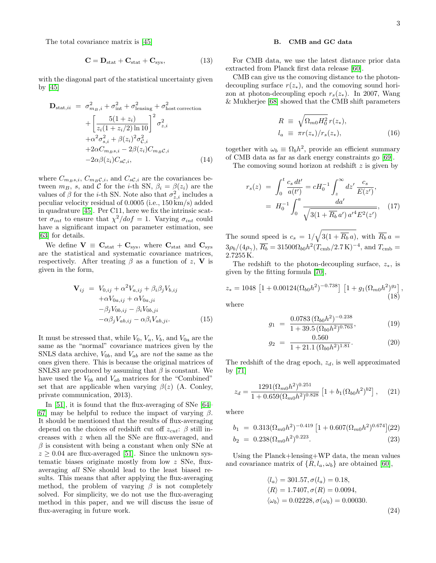The total covariance matrix is [\[45\]](#page-8-8)

$$
\mathbf{C} = \mathbf{D}_{\text{stat}} + \mathbf{C}_{\text{stat}} + \mathbf{C}_{\text{sys}},\tag{13}
$$

with the diagonal part of the statistical uncertainty given by  $|45|$ 

$$
\mathbf{D}_{\text{stat},ii} = \sigma_{m_B,i}^2 + \sigma_{\text{int}}^2 + \sigma_{\text{lensing}}^2 + \sigma_{\text{host correction}}^2 + \left[\frac{5(1+z_i)}{z_i(1+z_i/2)\ln 10}\right]^2 \sigma_{z,i}^2 + \alpha^2 \sigma_{s,i}^2 + \beta(z_i)^2 \sigma_{c,i}^2 + 2\alpha C_{m_B s,i} - 2\beta(z_i) C_{m_B c,i} - 2\alpha \beta(z_i) C_{s,c,i}, \qquad (14)
$$

where  $C_{mBS,i}$ ,  $C_{m_B\mathcal{C},i}$ , and  $C_{s\mathcal{C},i}$  are the covariances between  $m_B$ , s, and C for the *i*-th SN,  $\beta_i = \beta(z_i)$  are the values of  $\beta$  for the *i*-th SN. Note also that  $\sigma_{z,i}^2$  includes a peculiar velocity residual of 0.0005 (i.e., 150 km/s) added in quadrature [\[45\]](#page-8-8). Per C11, here we fix the intrinsic scatter  $\sigma_{int}$  to ensure that  $\chi^2/dof = 1$ . Varying  $\sigma_{int}$  could have a significant impact on parameter estimation, see [\[63\]](#page-8-24) for details.

We define  $V \equiv C_{stat} + C_{sys}$ , where  $C_{stat}$  and  $C_{sys}$ are the statistical and systematic covariance matrices, respectively. After treating  $\beta$  as a function of z, V is given in the form,

$$
\mathbf{V}_{ij} = V_{0,ij} + \alpha^2 V_{a,ij} + \beta_i \beta_j V_{b,ij}
$$
  
+ $\alpha V_{0a,ij} + \alpha V_{0a,ji}$   
- $\beta_j V_{0b,ij} - \beta_i V_{0b,ji}$   
- $\alpha \beta_j V_{ab,ij} - \alpha \beta_i V_{ab,ji}.$  (15)

It must be stressed that, while  $V_0$ ,  $V_a$ ,  $V_b$ , and  $V_{0a}$  are the same as the "normal" covariance matrices given by the SNLS data archive,  $V_{0b}$ , and  $V_{ab}$  are not the same as the ones given there. This is because the original matrices of SNLS3 are produced by assuming that  $\beta$  is constant. We have used the  $V_{0b}$  and  $V_{ab}$  matrices for the "Combined" set that are applicable when varying  $\beta(z)$  (A. Conley, private communication, 2013).

In [\[51\]](#page-8-12), it is found that the flux-averaging of SNe [\[64–](#page-8-25) [67\]](#page-8-26) may be helpful to reduce the impact of varying  $\beta$ . It should be mentioned that the results of flux-averaging depend on the choices of redshift cut off  $z_{cut}$ : β still increases with z when all the SNe are flux-averaged, and  $\beta$  is consistent with being a constant when only SNe at  $z \geq 0.04$  are flux-averaged [\[51\]](#page-8-12). Since the unknown systematic biases originate mostly from low z SNe, fluxaveraging all SNe should lead to the least biased results. This means that after applying the flux-averaging method, the problem of varying  $\beta$  is not completely solved. For simplicity, we do not use the flux-averaging method in this paper, and we will discuss the issue of flux-averaging in future work.

### B. CMB and GC data

For CMB data, we use the latest distance prior data extracted from Planck first data release [\[60\]](#page-8-21).

CMB can give us the comoving distance to the photondecoupling surface  $r(z_*)$ , and the comoving sound horizon at photon-decoupling epoch  $r_s(z_*)$ . In 2007, Wang & Mukherjee [\[68\]](#page-9-0) showed that the CMB shift parameters

$$
R \equiv \sqrt{\Omega_{m0} H_0^2} r(z_*),
$$
  
\n
$$
l_a \equiv \pi r(z_*) / r_s(z_*),
$$
\n(16)

together with  $\omega_b \equiv \Omega_b h^2$ , provide an efficient summary of CMB data as far as dark energy constraints go [\[69\]](#page-9-1).

The comoving sound horizon at redshift  $z$  is given by

<span id="page-2-1"></span>
$$
r_s(z) = \int_0^t \frac{c_s dt'}{a(t')} = cH_0^{-1} \int_z^\infty dz' \frac{c_s}{E(z')},
$$
  
=  $H_0^{-1} \int_0^a \frac{da'}{\sqrt{3(1 + R_b a')} a'^4 E^2(z')}$ , (17)

The sound speed is  $c_s = 1/\sqrt{3(1 + \overline{R_b} a)}$ , with  $\overline{R_b} a =$  $3\rho_b/(4\rho_\gamma)$ ,  $\overline{R_b} = 31500 \Omega_{b0} h^2 (T_{\rm cmb}/2.7 \,\rm K)^{-4}$ , and  $T_{\rm cmb} =$ 2.7255 K.

The redshift to the photon-decoupling surface,  $z_*$ , is given by the fitting formula [\[70\]](#page-9-2),

$$
z_* = 1048 \left[ 1 + 0.00124 (\Omega_{b0} h^2)^{-0.738} \right] \left[ 1 + g_1 (\Omega_{m0} h^2)^{g_2} \right],
$$
\n(18)

where

$$
g_1 = \frac{0.0783 \left(\Omega_{b0} h^2\right)^{-0.238}}{1 + 39.5 \left(\Omega_{b0} h^2\right)^{0.763}},\tag{19}
$$

$$
g_2 = \frac{0.560}{1 + 21.1 \left( \Omega_{b0} h^2 \right)^{1.81}}.
$$
 (20)

The redshift of the drag epoch,  $z_d$ , is well approximated by [\[71\]](#page-9-3)

<span id="page-2-2"></span>
$$
z_d = \frac{1291(\Omega_{m0}h^2)^{0.251}}{1 + 0.659(\Omega_{m0}h^2)^{0.828}} \left[1 + b_1(\Omega_{b0}h^2)^{b2}\right], \quad (21)
$$

where

$$
b_1 = 0.313(\Omega_{m0}h^2)^{-0.419} [1 + 0.607(\Omega_{m0}h^2)^{0.674}](22)
$$
  
\n
$$
b_2 = 0.238(\Omega_{m0}h^2)^{0.223}.
$$
\n(23)

Using the Planck+lensing+WP data, the mean values and covariance matrix of  $\{R, l_a, \omega_b\}$  are obtained [\[60\]](#page-8-21),

<span id="page-2-0"></span>
$$
\langle l_a \rangle = 301.57, \sigma(l_a) = 0.18,\langle R \rangle = 1.7407, \sigma(R) = 0.0094,\langle \omega_b \rangle = 0.02228, \sigma(\omega_b) = 0.00030.
$$
\n(24)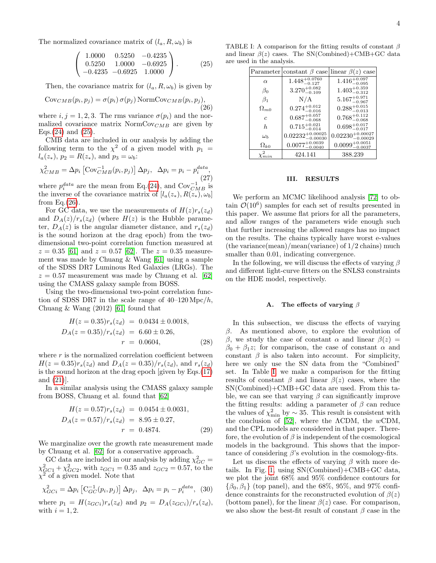The normalized covariance matrix of  $(l_a, R, \omega_b)$  is

<span id="page-3-0"></span>
$$
\left(\begin{array}{ccc} 1.0000 & 0.5250 & -0.4235 \\ 0.5250 & 1.0000 & -0.6925 \\ -0.4235 & -0.6925 & 1.0000 \end{array}\right).
$$
 (25)

Then, the covariance matrix for  $(l_a, R, \omega_b)$  is given by

<span id="page-3-1"></span>
$$
Cov_{CMB}(p_i, p_j) = \sigma(p_i) \sigma(p_j) NormCov_{CMB}(p_i, p_j),
$$
\n(26)

where  $i, j = 1, 2, 3$ . The rms variance  $\sigma(p_i)$  and the normalized covariance matrix  $NormCov_{CMB}$  are given by Eqs. $(24)$  and  $(25)$ .

CMB data are included in our analysis by adding the following term to the  $\chi^2$  of a given model with  $p_1 =$  $l_a(z_*), p_2 = R(z_*),$  and  $p_3 = \omega_b$ :

$$
\chi_{CMB}^2 = \Delta p_i \left[ \text{Cov}_{CMB}^{-1}(p_i, p_j) \right] \Delta p_j, \ \ \Delta p_i = p_i - p_i^{data}, \tag{27}
$$

where  $p_i^{data}$  are the mean from Eq.[\(24\)](#page-2-0), and  $Cov_{CMB}^{-1}$  is the inverse of the covariance matrix of  $[l_a(z_*), R(z_*), \omega_b]$ from Eq. $(26)$ .

For GC data, we use the measurements of  $H(z)r_s(z_d)$ and  $D_A(z)/r_s(z_d)$  (where  $H(z)$  is the Hubble parameter,  $D_A(z)$  is the angular diameter distance, and  $r_s(z_d)$ is the sound horizon at the drag epoch) from the twodimensional two-point correlation function measured at  $z = 0.35$  [\[61\]](#page-8-22) and  $z = 0.57$  [\[62\]](#page-8-23). The  $z = 0.35$  measurement was made by Chuang & Wang [\[61\]](#page-8-22) using a sample of the SDSS DR7 Luminous Red Galaxies (LRGs). The  $z = 0.57$  measurement was made by Chuang et al. [\[62\]](#page-8-23) using the CMASS galaxy sample from BOSS.

Using the two-dimensional two-point correlation function of SDSS DR7 in the scale range of  $40-120 \text{ Mpc}/h$ , Chuang  $&$  Wang  $(2012)$  [\[61\]](#page-8-22) found that

$$
H(z = 0.35)r_s(z_d) = 0.0434 \pm 0.0018,
$$
  
\n
$$
D_A(z = 0.35)/r_s(z_d) = 6.60 \pm 0.26,
$$
  
\n
$$
r = 0.0604,
$$
 (28)

where  $r$  is the normalized correlation coefficient between  $H(z = 0.35)r_s(z_d)$  and  $D_A(z = 0.35)/r_s(z_d)$ , and  $r_s(z_d)$ is the sound horizon at the drag epoch [given by Eqs.[\(17\)](#page-2-1) and [\(21\)](#page-2-2)].

In a similar analysis using the CMASS galaxy sample from BOSS, Chuang et al. found that [\[62\]](#page-8-23)

$$
H(z = 0.57)r_s(z_d) = 0.0454 \pm 0.0031,
$$
  
\n
$$
D_A(z = 0.57)/r_s(z_d) = 8.95 \pm 0.27,
$$
  
\n
$$
r = 0.4874.
$$
\n(29)

We marginalize over the growth rate measurement made by Chuang et al. [\[62\]](#page-8-23) for a conservative approach.

GC data are included in our analysis by adding  $\chi^2_{GC} =$  $\chi^2_{GCl} + \chi^2_{GCl}$ , with  $z_{GCl} = 0.35$  and  $z_{GCl} = 0.57$ , to the  $\chi^2$  of a given model. Note that

$$
\chi_{GCi}^2 = \Delta p_i \left[ C_{GC}^{-1}(p_i, p_j) \right] \Delta p_j, \ \ \Delta p_i = p_i - p_i^{data}, \ \ (30)
$$

where  $p_1 = H(z_{GCi})r_s(z_d)$  and  $p_2 = D_A(z_{GCi})/r_s(z_d)$ , with  $i = 1, 2$ .

<span id="page-3-2"></span>

|               | Parameter constant $\beta$ case linear $\beta(z)$ case |                                 |
|---------------|--------------------------------------------------------|---------------------------------|
| $\alpha$      | $1.448^{+0.0760}_{-0.127}$                             | $1.416^{+0.097}_{-0.095}$       |
| $\beta_0$     | $3.270^{+0.082}_{-0.109}$                              | $1.403_{-0.312}^{+0.359}$       |
| $\beta_1$     | N/A                                                    | $5.167^{+0.971}_{-0.967}$       |
| $\Omega_{m0}$ | $0.274^{+0.012}_{-0.016}$                              | $0.288^{+0.015}_{-0.013}$       |
| $\epsilon$    | $0.687^{+0.057}_{-0.068}$                              | $0.768^{+0.112}_{-0.068}$       |
| $\hbar$       | $0.715^{+0.021}_{-0.014}$                              | $0.698^{+0.017}_{-0.017}$       |
| $\omega_h$    | $0.02232_{-0.00030}^{+0.00025}$                        | $0.02230^{+0.00027}_{-0.00029}$ |
| $\Omega_{k0}$ | $0.0077^{+0.0039}_{-0.0040}$                           | $0.0099_{-0.0037}^{+0.0051}$    |
|               | 424.141                                                | 388.239                         |

### III. RESULTS

We perform an MCMC likelihood analysis [\[72\]](#page-9-4) to obtain  $\mathcal{O}(10^6)$  samples for each set of results presented in this paper. We assume flat priors for all the parameters, and allow ranges of the parameters wide enough such that further increasing the allowed ranges has no impact on the results. The chains typically have worst e-values (the variance(mean)/mean(variance) of 1/2 chains) much smaller than 0.01, indicating convergence.

In the following, we will discuss the effects of varying  $\beta$ and different light-curve fitters on the SNLS3 constraints on the HDE model, respectively.

### A. The effects of varying  $\beta$

In this subsection, we discuss the effects of varying  $\beta$ . As mentioned above, to explore the evolution of β, we study the case of constant  $\alpha$  and linear  $\beta(z)$  =  $\beta_0 + \beta_1 z$ ; for comparison, the case of constant  $\alpha$  and constant  $\beta$  is also taken into account. For simplicity, here we only use the SN data from the "Combined" set. In Table [I,](#page-3-2) we make a comparison for the fitting results of constant  $\beta$  and linear  $\beta(z)$  cases, where the SN(Combined)+CMB+GC data are used. From this table, we can see that varying  $\beta$  can significantly improve the fitting results: adding a parameter of  $\beta$  can reduce the values of  $\chi^2_{\rm min}$  by ~ 35. This result is consistent with the conclusion of [\[52\]](#page-8-13), where the  $\Lambda$ CDM, the  $w$ CDM, and the CPL models are considered in that paper. Therefore, the evolution of  $\beta$  is independent of the cosmological models in the background. This shows that the importance of considering  $\beta$ 's evolution in the cosmology-fits.

Let us discuss the effects of varying  $\beta$  with more details. In Fig. [1,](#page-4-0) using SN(Combined)+CMB+GC data, we plot the joint 68% and 95% confidence contours for  ${\lbrace \beta_0, \beta_1 \rbrace}$  (top panel), and the 68%, 95%, and 97% confidence constraints for the reconstructed evolution of  $\beta(z)$ (bottom panel), for the linear  $\beta(z)$  case. For comparison, we also show the best-fit result of constant  $\beta$  case in the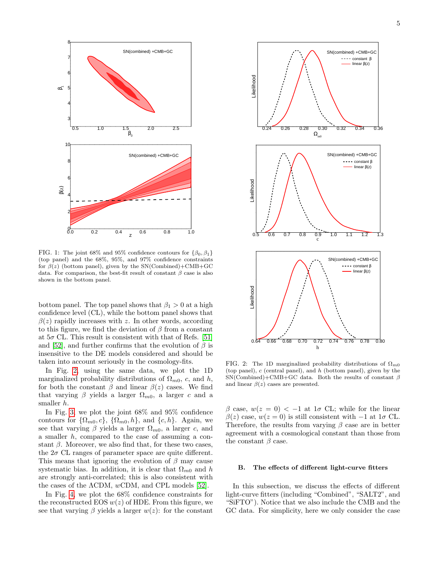

<span id="page-4-0"></span>FIG. 1: The joint 68% and 95% confidence contours for  $\{\beta_0, \beta_1\}$ (top panel) and the 68%, 95%, and 97% confidence constraints for  $\beta(z)$  (bottom panel), given by the SN(Combined)+CMB+GC data. For comparison, the best-fit result of constant  $\beta$  case is also shown in the bottom panel.

bottom panel. The top panel shows that  $\beta_1 > 0$  at a high confidence level (CL), while the bottom panel shows that  $\beta(z)$  rapidly increases with z. In other words, according to this figure, we find the deviation of  $\beta$  from a constant at  $5\sigma$  CL. This result is consistent with that of Refs. [\[51\]](#page-8-12) and [\[52\]](#page-8-13), and further confirms that the evolution of  $\beta$  is insensitive to the DE models considered and should be taken into account seriously in the cosmology-fits.

In Fig. [2,](#page-4-1) using the same data, we plot the 1D marginalized probability distributions of  $\Omega_{m0}$ , c, and h, for both the constant  $\beta$  and linear  $\beta(z)$  cases. We find that varying  $\beta$  yields a larger  $\Omega_{m0}$ , a larger c and a smaller h.

In Fig. [3,](#page-5-0) we plot the joint 68% and 95% confidence contours for  $\{\Omega_{m0}, c\}$ ,  $\{\Omega_{m0}, h\}$ , and  $\{c, h\}$ . Again, we see that varying  $\beta$  yields a larger  $\Omega_{m0}$ , a larger c, and a smaller  $h$ , compared to the case of assuming a constant  $\beta$ . Moreover, we also find that, for these two cases, the  $2\sigma$  CL ranges of parameter space are quite different. This means that ignoring the evolution of  $\beta$  may cause systematic bias. In addition, it is clear that  $\Omega_{m0}$  and h are strongly anti-correlated; this is also consistent with the cases of the  $\Lambda$ CDM,  $w$ CDM, and CPL models [\[52\]](#page-8-13).

In Fig. [4,](#page-5-1) we plot the 68% confidence constraints for the reconstructed EOS  $w(z)$  of HDE. From this figure, we see that varying  $\beta$  yields a larger  $w(z)$ : for the constant



<span id="page-4-1"></span>FIG. 2: The 1D marginalized probability distributions of  $\Omega_{m0}$ (top panel), c (central panel), and h (bottom panel), given by the SN(Combined)+CMB+GC data. Both the results of constant  $\beta$ and linear  $\beta(z)$  cases are presented.

β case,  $w(z = 0)$  < -1 at 1σ CL; while for the linear  $\beta(z)$  case,  $w(z=0)$  is still consistent with  $-1$  at  $1\sigma$  CL. Therefore, the results from varying  $\beta$  case are in better agreement with a cosmological constant than those from the constant  $\beta$  case.

### B. The effects of different light-curve fitters

In this subsection, we discuss the effects of different light-curve fitters (including "Combined", "SALT2", and "SiFTO"). Notice that we also include the CMB and the GC data. For simplicity, here we only consider the case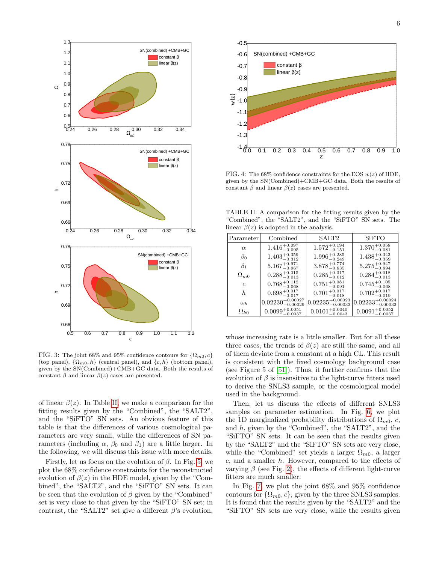

<span id="page-5-0"></span>FIG. 3: The joint 68% and 95% confidence contours for  $\{\Omega_{m0}, c\}$ (top panel),  $\{\Omega_{m0}, h\}$  (central panel), and  $\{c, h\}$  (bottom panel), given by the SN(Combined)+CMB+GC data. Both the results of constant  $\beta$  and linear  $\beta(z)$  cases are presented.

of linear  $\beta(z)$ . In Table [II,](#page-5-2) we make a comparison for the fitting results given by the "Combined", the "SALT2", and the "SiFTO" SN sets. An obvious feature of this table is that the differences of various cosmological parameters are very small, while the differences of SN parameters (including  $\alpha$ ,  $\beta_0$  and  $\beta_1$ ) are a little larger. In the following, we will discuss this issue with more details.

Firstly, let us focus on the evolution of  $\beta$ . In Fig. [5,](#page-6-0) we plot the 68% confidence constraints for the reconstructed evolution of  $\beta(z)$  in the HDE model, given by the "Combined", the "SALT2", and the "SiFTO" SN sets. It can be seen that the evolution of  $\beta$  given by the "Combined" set is very close to that given by the "SiFTO" SN set; in contrast, the "SALT2" set give a different  $\beta$ 's evolution,



<span id="page-5-1"></span>FIG. 4: The 68% confidence constraints for the EOS  $w(z)$  of HDE, given by the SN(Combined)+CMB+GC data. Both the results of constant  $\beta$  and linear  $\beta(z)$  cases are presented.

<span id="page-5-2"></span>TABLE II: A comparison for the fitting results given by the "Combined", the "SALT2", and the "SiFTO" SN sets. The linear  $\beta(z)$  is adopted in the analysis.

| Parameter     | Combined                        | SALT2                           | <b>SiFTO</b>                    |
|---------------|---------------------------------|---------------------------------|---------------------------------|
| $\alpha$      | $1.416^{+0.097}_{-0.095}$       | $1.572_{-0.151}^{+0.194}$       | $1.370^{+0.058}_{-0.081}$       |
| $\beta_0$     | $1.403_{-0.312}^{+0.359}$       | $1.996^{+0.285}_{-0.249}$       | $1.438_{-0.359}^{+0.343}$       |
| $\beta_1$     | $5.167^{+0.971}_{-0.967}$       | $3.878^{+0.774}_{-0.835}$       | $5.275^{+0.947}_{-0.894}$       |
| $\Omega_{m0}$ | $0.288^{+0.015}_{-0.013}$       | $0.285^{+0.017}_{-0.012}$       | $0.284^{+0.018}_{-0.013}$       |
| C             | $0.768^{+0.112}_{-0.068}$       | $0.751^{+0.081}_{-0.091}$       | $0.745_{-0.068}^{+0.105}$       |
| h.            | $0.698^{+0.017}_{-0.017}$       | $0.701^{+0.017}_{-0.018}$       | $0.702^{+0.017}_{-0.019}$       |
| $\omega_b$    | $0.02230^{+0.00027}_{-0.00029}$ | $0.02235_{-0.00033}^{+0.00023}$ | $0.02233_{-0.00032}^{+0.00024}$ |
| $\Omega_{k0}$ | $0.0099^{+0.0051}_{-0.0027}$    | $0.0101^{+0.0040}_{-0.0042}$    | $0.0091^{+0.0052}_{-0.0037}$    |

whose increasing rate is a little smaller. But for all these three cases, the trends of  $\beta(z)$  are still the same, and all of them deviate from a constant at a high CL. This result is consistent with the fixed cosmology background case (see Figure 5 of [\[51\]](#page-8-12)). Thus, it further confirms that the evolution of  $\beta$  is insensitive to the light-curve fitters used to derive the SNLS3 sample, or the cosmological model used in the background.

Then, let us discuss the effects of different SNLS3 samples on parameter estimation. In Fig. [6,](#page-6-1) we plot the 1D marginalized probability distributions of  $\Omega_{m0}$ , c, and h, given by the "Combined", the "SALT2", and the "SiFTO" SN sets. It can be seen that the results given by the "SALT2" and the "SiFTO" SN sets are very close, while the "Combined" set yields a larger  $\Omega_{m0}$ , a larger c, and a smaller h. However, compared to the effects of varying  $\beta$  (see Fig. [2\)](#page-4-1), the effects of different light-curve fitters are much smaller.

In Fig. [7,](#page-7-3) we plot the joint 68% and 95% confidence contours for  $\{\Omega_{m0}, c\}$ , given by the three SNLS3 samples. It is found that the results given by the "SALT2" and the "SiFTO" SN sets are very close, while the results given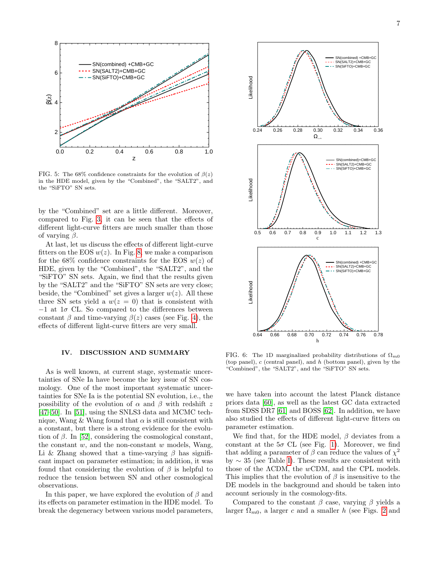

<span id="page-6-0"></span>FIG. 5: The 68% confidence constraints for the evolution of  $\beta(z)$ in the HDE model, given by the "Combined", the "SALT2", and the "SiFTO" SN sets.

by the "Combined" set are a little different. Moreover, compared to Fig. [3,](#page-5-0) it can be seen that the effects of different light-curve fitters are much smaller than those of varying  $\beta$ .

At last, let us discuss the effects of different light-curve fitters on the EOS  $w(z)$ . In Fig. [8,](#page-7-4) we make a comparison for the 68% confidence constraints for the EOS  $w(z)$  of HDE, given by the "Combined", the "SALT2", and the "SiFTO" SN sets. Again, we find that the results given by the "SALT2" and the "SiFTO" SN sets are very close; beside, the "Combined" set gives a larger  $w(z)$ . All these three SN sets yield a  $w(z = 0)$  that is consistent with  $-1$  at  $1\sigma$  CL. So compared to the differences between constant  $\beta$  and time-varying  $\beta(z)$  cases (see Fig. [4\)](#page-5-1), the effects of different light-curve fitters are very small.

### IV. DISCUSSION AND SUMMARY

As is well known, at current stage, systematic uncertainties of SNe Ia have become the key issue of SN cosmology. One of the most important systematic uncertainties for SNe Ia is the potential SN evolution, i.e., the possibility of the evolution of  $\alpha$  and  $\beta$  with redshift z [\[47–](#page-8-10)[50\]](#page-8-11). In [\[51\]](#page-8-12), using the SNLS3 data and MCMC technique, Wang & Wang found that  $\alpha$  is still consistent with a constant, but there is a strong evidence for the evolution of  $\beta$ . In [\[52\]](#page-8-13), considering the cosmological constant, the constant  $w$ , and the non-constant  $w$  models, Wang, Li & Zhang showed that a time-varying  $\beta$  has significant impact on parameter estimation; in addition, it was found that considering the evolution of  $\beta$  is helpful to reduce the tension between SN and other cosmological observations.

In this paper, we have explored the evolution of  $\beta$  and its effects on parameter estimation in the HDE model. To break the degeneracy between various model parameters,



<span id="page-6-1"></span>FIG. 6: The 1D marginalized probability distributions of  $\Omega_{m0}$ (top panel), c (central panel), and h (bottom panel), given by the "Combined", the "SALT2", and the "SiFTO" SN sets.

we have taken into account the latest Planck distance priors data [\[60\]](#page-8-21), as well as the latest GC data extracted from SDSS DR7 [\[61\]](#page-8-22) and BOSS [\[62\]](#page-8-23). In addition, we have also studied the effects of different light-curve fitters on parameter estimation.

We find that, for the HDE model,  $\beta$  deviates from a constant at the  $5\sigma$  CL (see Fig. [1\)](#page-4-0). Moreover, we find that adding a parameter of  $\beta$  can reduce the values of  $\chi^2$ by ∼ 35 (see Table [I\)](#page-3-2). These results are consistent with those of the ΛCDM, the wCDM, and the CPL models. This implies that the evolution of  $\beta$  is insensitive to the DE models in the background and should be taken into account seriously in the cosmology-fits.

Compared to the constant  $\beta$  case, varying  $\beta$  yields a larger  $\Omega_{m0}$ , a larger c and a smaller h (see Figs. [2](#page-4-1) and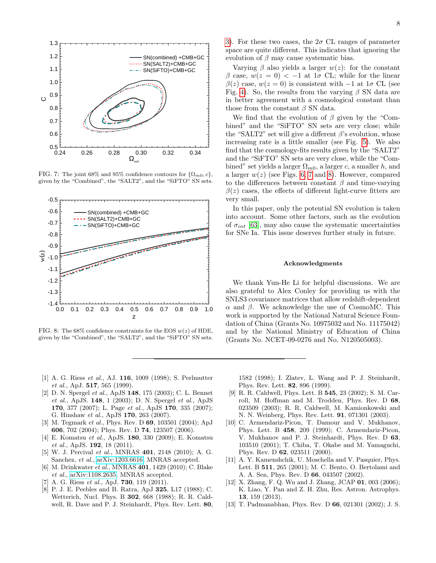

<span id="page-7-3"></span>FIG. 7: The joint 68% and 95% confidence contours for  $\{\Omega_{m0}, c\}$ , given by the "Combined", the "SALT2", and the "SiFTO" SN sets.



<span id="page-7-4"></span>FIG. 8: The 68% confidence constraints for the EOS  $w(z)$  of HDE. given by the "Combined", the "SALT2", and the "SiFTO" SN sets.

[3\)](#page-5-0). For these two cases, the  $2\sigma$  CL ranges of parameter space are quite different. This indicates that ignoring the evolution of  $\beta$  may cause systematic bias.

Varying  $\beta$  also yields a larger  $w(z)$ : for the constant β case,  $w(z = 0)$  < -1 at 1σ CL; while for the linear  $\beta(z)$  case,  $w(z=0)$  is consistent with  $-1$  at  $1\sigma$  CL (see Fig. [4\)](#page-5-1). So, the results from the varying  $\beta$  SN data are in better agreement with a cosmological constant than those from the constant  $\beta$  SN data.

We find that the evolution of  $\beta$  given by the "Combined" and the "SiFTO" SN sets are very close; while the "SALT2" set will give a different  $\beta$ 's evolution, whose increasing rate is a little smaller (see Fig. [5\)](#page-6-0). We also find that the cosmology-fits results given by the "SALT2" and the "SiFTO" SN sets are very close, while the "Combined" set yields a larger  $\Omega_{m0}$ , a larger c, a smaller h, and a larger  $w(z)$  (see Figs. [6,](#page-6-1) [7](#page-7-3) and [8\)](#page-7-4). However, compared to the differences between constant  $\beta$  and time-varying  $\beta(z)$  cases, the effects of different light-curve fitters are very small.

In this paper, only the potential SN evolution is taken into account. Some other factors, such as the evolution of  $\sigma_{int}$  [\[63\]](#page-8-24), may also cause the systematic uncertainties for SNe Ia. This issue deserves further study in future.

### Acknowledgments

We thank Yun-He Li for helpful discussions. We are also grateful to Alex Conley for providing us with the SNLS3 covariance matrices that allow redshift-dependent  $\alpha$  and  $\beta$ . We acknowledge the use of CosmoMC. This work is supported by the National Natural Science Foundation of China (Grants No. 10975032 and No. 11175042) and by the National Ministry of Education of China (Grants No. NCET-09-0276 and No. N120505003).

- <span id="page-7-0"></span>[1] A. G. Riess *et al.*, AJ. **116**, 1009 (1998); S. Perlmutter et al., ApJ. 517, 565 (1999).
- [2] D. N. Spergel et al., ApJS 148, 175 (2003); C. L. Bennet et al., ApJS. 148, 1 (2003); D. N. Spergel et al., ApJS 170, 377 (2007); L. Page et al., ApJS 170, 335 (2007); G. Hinshaw et al., ApJS 170, 263 (2007).
- [3] M. Tegmark et al., Phys. Rev. D 69, 103501 (2004); ApJ 606, 702 (2004); Phys. Rev. D 74, 123507 (2006).
- [4] E. Komatsu et al., ApJS. 180, 330 (2009); E. Komatsu et al., ApJS. 192, 18 (2011).
- [5] W. J. Percival et al., MNRAS 401, 2148 (2010); A. G. Sanchez, et al., [arXiv:1203.6616,](http://arxiv.org/abs/1203.6616) MNRAS accepted.
- [6] M. Drinkwater et al., MNRAS 401, 1429 (2010); C. Blake et al., [arXiv:1108.2635,](http://arxiv.org/abs/1108.2635) MNRAS accepted.
- <span id="page-7-1"></span>[7] A. G. Riess et al., ApJ. **730**, 119  $(2011)$ .
- <span id="page-7-2"></span>[8] P. J. E. Peebles and B. Ratra, ApJ 325, L17 (1988); C. Wetterich, Nucl. Phys. B 302, 668 (1988); R. R. Caldwell, R. Dave and P. J. Steinhardt, Phys. Rev. Lett. 80,

1582 (1998); I. Zlatev, L. Wang and P. J. Steinhardt, Phys. Rev. Lett. 82, 896 (1999).

- [9] R. R. Caldwell, Phys. Lett. B 545, 23 (2002); S. M. Carroll, M. Hoffman and M. Trodden, Phys. Rev. D 68, 023509 (2003); R. R. Caldwell, M. Kamionkowski and N. N. Weinberg, Phys. Rev. Lett. 91, 071301 (2003).
- [10] C. Armendariz-Picon, T. Damour and V. Mukhanov, Phys. Lett. B 458, 209 (1999); C. Armendariz-Picon, V. Mukhanov and P. J. Steinhardt, Phys. Rev. D 63, 103510 (2001); T. Chiba, T. Okabe and M. Yamaguchi, Phys. Rev. D 62, 023511 (2000).
- [11] A. Y. Kamenshchik, U. Moschella and V. Pasquier, Phys. Lett. B 511, 265 (2001); M. C. Bento, O. Bertolami and A. A. Sen, Phys. Rev. D 66, 043507 (2002).
- [12] X. Zhang, F. Q. Wu and J. Zhang, JCAP 01, 003 (2006); K. Liao, Y. Pan and Z. H. Zhu, Res. Astron. Astrophys. 13, 159 (2013).
- [13] T. Padmanabhan, Phys. Rev. D 66, 021301 (2002); J. S.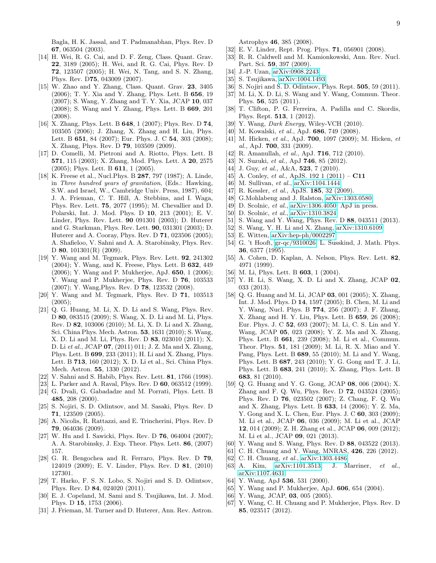Bagla, H. K. Jassal, and T. Padmanabhan, Phys. Rev. D 67, 063504 (2003).

- [14] H. Wei, R. G. Cai, and D. F. Zeng, Class. Quant. Grav. 22, 3189 (2005); H. Wei, and R. G. Cai, Phys. Rev. D 72, 123507 (2005); H. Wei, N. Tang, and S. N. Zhang, Phys. Rev. D75, 043009 (2007).
- [15] W. Zhao and Y. Zhang, Class. Quant. Grav. 23, 3405 (2006); T. Y. Xia and Y. Zhang, Phys. Lett. B 656, 19 (2007); S. Wang, Y. Zhang and T. Y. Xia, JCAP 10, 037 (2008); S. Wang and Y. Zhang, Phys. Lett. B 669, 201 (2008).
- [16] X. Zhang, Phys. Lett. B 648, 1 (2007); Phys. Rev. D 74, 103505 (2006); J. Zhang, X. Zhang and H. Liu, Phys. Lett. B 651, 84 (2007); Eur. Phys. J. C 54, 303 (2008); X. Zhang, Phys. Rev. D 79, 103509 (2009).
- [17] D. Comelli, M. Pietroni and A. Riotto, Phys. Lett. B 571, 115 (2003); X. Zhang, Mod. Phys. Lett. A 20, 2575 (2005); Phys. Lett. B 611, 1 (2005).
- [18] K. Freese et al., Nucl.Phys. B 287, 797 (1987); A. Linde, in Three hundred years of gravitation, (Eds.: Hawking, S.W. and Israel, W., Cambridge Univ. Press, 1987), 604; J. A. Frieman, C. T. Hill, A. Stebbins, and I. Waga, Phys. Rev. Lett. 75, 2077 (1995); M. Chevallier and D. Polarski, Int. J. Mod. Phys. D 10, 213 (2001); E. V. Linder, Phys. Rev. Lett. 90 091301 (2003); D. Huterer and G. Starkman, Phys. Rev. Lett. 90, 031301 (2003); D. Huterer and A. Cooray, Phys. Rev. D 71, 023506 (2005); A. Shafieloo, V. Sahni and A. A. Starobinsky, Phys. Rev. D 80, 101301(R) (2009).
- [19] Y. Wang and M. Tegmark, Phys. Rev. Lett. 92, 241302 (2004); Y. Wang, and K. Freese, Phys. Lett. B 632, 449 (2006); Y. Wang and P. Mukherjee, ApJ. 650, 1 (2006); Y. Wang and P. Mukherjee, Phys. Rev. D 76, 103533 (2007); Y. Wang,Phys. Rev. D 78, 123532 (2008).
- [20] Y. Wang and M. Tegmark, Phys. Rev. D 71, 103513  $(2005);$
- <span id="page-8-0"></span>[21] Q. G. Huang, M. Li, X. D. Li and S. Wang, Phys. Rev. D 80, 083515 (2009); S. Wang, X. D. Li and M. Li, Phys. Rev. D 82, 103006 (2010); M. Li, X. D. Li and X. Zhang, Sci. China Phys. Mech. Astron. 53, 1631 (2010); S. Wang, X. D. Li and M. Li, Phys. Rev. D 83, 023010 (2011); X. D. Li et al., JCAP 07, (2011) 011; J. Z. Ma and X. Zhang, Phys. Lett. B 699, 233 (2011); H. Li and X. Zhang, Phys. Lett. B 713, 160 (2012); X. D. Li et al., Sci. China Phys. Mech. Astron. 55, 1330 (2012).
- <span id="page-8-1"></span>[22] V. Sahni and S. Habib, Phys. Rev. Lett. 81, 1766 (1998).
- [23] L. Parker and A. Raval, Phys. Rev. D 60, 063512 (1999).
- [24] G. Dvali, G. Gabadadze and M. Porrati, Phys. Lett. B 485, 208 (2000).
- [25] S. Nojiri, S. D. Odintsov, and M. Sasaki, Phys. Rev. D 71, 123509 (2005).
- [26] A. Nicolis, R. Rattazzi, and E. Trincherini, Phys. Rev. D 79, 064036 (2009).
- [27] W. Hu and I. Sawicki, Phys. Rev. D **76**, 064004 (2007); A. A. Starobinsky, J. Exp. Theor. Phys. Lett. 86, (2007) 157.
- [28] G. R. Bengochea and R. Ferraro, Phys. Rev. D 79, 124019 (2009); E. V. Linder, Phys. Rev. D 81, (2010) 127301.
- <span id="page-8-2"></span>[29] T. Harko, F. S. N. Lobo, S. Nojiri and S. D. Odintsov, Phys. Rev. D 84, 024020 (2011).
- <span id="page-8-3"></span>[30] E. J. Copeland, M. Sami and S. Tsujikawa, Int. J. Mod. Phys. D 15, 1753 (2006).
- [31] J. Frieman, M. Turner and D. Huterer, Ann. Rev. Astron.

Astrophys 46, 385 (2008).

- [32] E. V. Linder, Rept. Prog. Phys. 71, 056901 (2008).
- [33] R. R. Caldwell and M. Kamionkowski, Ann. Rev. Nucl. Part. Sci. 59, 397 (2009).
- [34] J.-P. Uzan, [arXiv:0908.2243.](http://arxiv.org/abs/0908.2243)
- [35] S. Tsujikawa, [arXiv:1004.1493.](http://arxiv.org/abs/1004.1493)
- [36] S. Nojiri and S. D. Odintsov, Phys. Rept. **505**, 59 (2011).
- [37] M. Li, X. D. Li, S. Wang and Y. Wang, Commun. Theor. Phys. 56, 525 (2011).
- [38] T. Clifton, P. G. Ferreira, A. Padilla and C. Skordis, Phys. Rept. 513, 1 (2012).
- <span id="page-8-4"></span>[39] Y. Wang, *Dark Energy*, Wiley-VCH  $(2010)$ .
- <span id="page-8-5"></span>[40] M. Kowalski, et al., ApJ. 686, 749 (2008).
- [41] M. Hicken, et al., ApJ. **700**, 1097 (2009); M. Hicken, et  $al.,$  ApJ. 700, 331 (2009).
- [42] R. Amanullah, et al., ApJ.  $716$ ,  $712$  (2010).
- <span id="page-8-6"></span>[43] N. Suzuki, et al., ApJ **746**, 85 (2012).
- <span id="page-8-7"></span>[44] J. Guy, et al.,  $A&A$ , **523**, 7 (2010).
- <span id="page-8-8"></span>[45] A. Conley, *et al.*, ApJS. 192 1  $(2011) - C11$
- <span id="page-8-9"></span>[46] M. Sullivan, et al., [arXiv:1104.1444.](http://arxiv.org/abs/1104.1444)
- <span id="page-8-10"></span>[47] R. Kessler, et al., ApJS. **185**, 32 (2009).
- [48] G.Mohlabeng and J. Ralston, [arXiv:1303.0580.](http://arxiv.org/abs/1303.0580)
- [49] D. Scolnic, *et al.*, [arXiv:1306.4050,](http://arxiv.org/abs/1306.4050) ApJ in press.
- <span id="page-8-11"></span>[50] D. Scolnic, et al., [arXiv:1310.3824.](http://arxiv.org/abs/1310.3824)
- <span id="page-8-12"></span>[51] S. Wang and Y. Wang, Phys. Rev. D 88, 043511 (2013).
- <span id="page-8-13"></span>[52] S. Wang, Y. H. Li and X. Zhang, [arXiv:1310.6109.](http://arxiv.org/abs/1310.6109)
- <span id="page-8-14"></span>[53] E. Witten, [arXiv:hep-ph/0002297.](http://arxiv.org/abs/hep-ph/0002297)
- <span id="page-8-15"></span>[54] G. 't Hooft, [gr-qc/9310026;](http://arxiv.org/abs/gr-qc/9310026) L. Susskind, J. Math. Phys. 36, 6377 (1995).
- <span id="page-8-16"></span>[55] A. Cohen, D. Kaplan, A. Nelson, Phys. Rev. Lett. 82, 4971 (1999).
- <span id="page-8-17"></span>[56] M. Li, Phys. Lett. B **603**, 1 (2004).
- <span id="page-8-18"></span>[57] Y. H. Li, S. Wang, X. D. Li and X. Zhang, JCAP 02, 033 (2013).
- <span id="page-8-19"></span>[58] Q. G. Huang and M. Li, JCAP 03, 001 (2005); X. Zhang, Int. J. Mod. Phys. D 14, 1597 (2005); B. Chen, M. Li and Y. Wang, Nucl. Phys. B 774, 256 (2007); J. F. Zhang, X. Zhang and H. Y. Liu, Phys. Lett. B 659, 26 (2008); Eur. Phys. J. C 52, 693 (2007); M. Li, C. S. Lin and Y. Wang, JCAP 05, 023 (2008); Y. Z. Ma and X. Zhang, Phys. Lett. B 661, 239 (2008); M. Li et al., Commun. Theor. Phys. 51, 181 (2009); M. Li, R. X. Miao and Y. Pang, Phys. Lett. B 689, 55 (2010); M. Li and Y. Wang, Phys. Lett. B 687, 243 (2010); Y. G. Gong and T. J. Li, Phys. Lett. B 683, 241 (2010); X. Zhang, Phys. Lett. B 683, 81 (2010).
- <span id="page-8-20"></span>[59] Q. G. Huang and Y. G. Gong, JCAP 08, 006 (2004); X. Zhang and F. Q. Wu, Phys. Rev. D 72, 043524 (2005); Phys. Rev. D 76, 023502 (2007); Z. Chang, F. Q. Wu and X. Zhang, Phys. Lett. B 633, 14 (2006); Y. Z. Ma, Y. Gong and X. L. Chen, Eur. Phys. J. C 60, 303 (2009); M. Li et al., JCAP 06, 036 (2009); M. Li et al., JCAP 12, 014 (2009); Z. H. Zhang et al., JCAP 06, 009 (2012); M. Li et al., JCAP 09, 021 (2013).
- <span id="page-8-21"></span>[60] Y. Wang and S. Wang, Phys. Rev. D 88, 043522 (2013).
- <span id="page-8-22"></span>[61] C. H. Chuang and Y. Wang, MNRAS, **426**, 226 (2012).
- <span id="page-8-24"></span><span id="page-8-23"></span>[62] C. H. Chuang, et al., [arXiv:1303.4486.](http://arxiv.org/abs/1303.4486)
- <span id="page-8-26"></span><span id="page-8-25"></span>[63] A. Kim, [arXiv:1101.3513;](http://arxiv.org/abs/1101.3513) J. Marriner, et al., [arXiv:1107.4631.](http://arxiv.org/abs/1107.4631)
	- [64] Y. Wang, ApJ 536, 531 (2000).
	- [65] Y. Wang and P. Mukherjee, ApJ. 606, 654 (2004).
	- [66] Y. Wang, JCAP, 03, 005 (2005).
	- [67] Y. Wang, C. H. Chuang and P. Mukherjee, Phys. Rev. D 85, 023517 (2012).